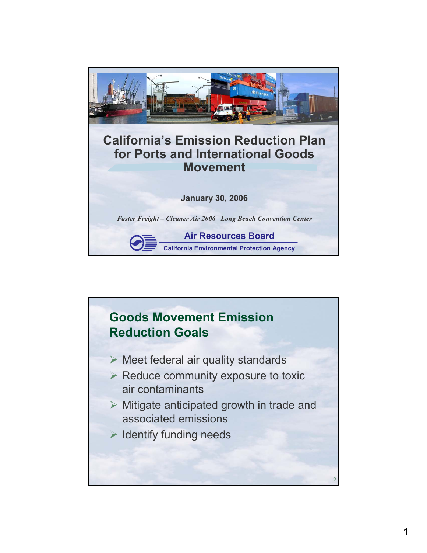

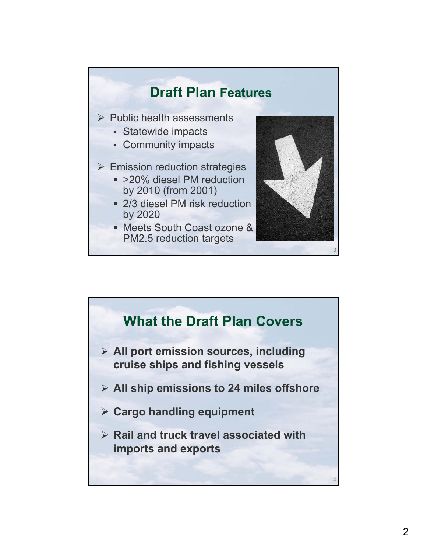

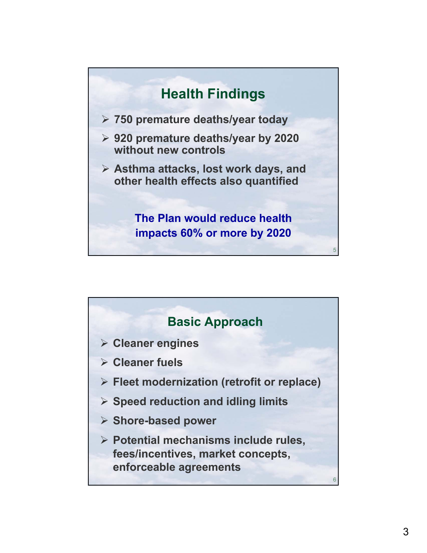

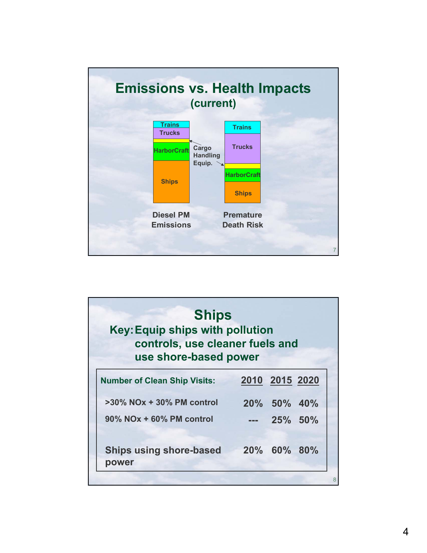

| <b>Ships</b><br><b>Key: Equip ships with pollution</b><br>controls, use cleaner fuels and<br>use shore-based power |                                         |             |                |  |  |
|--------------------------------------------------------------------------------------------------------------------|-----------------------------------------|-------------|----------------|--|--|
|                                                                                                                    | <b>Number of Clean Ship Visits:</b>     |             | 2010 2015 2020 |  |  |
|                                                                                                                    | $>30\%$ NOx + 30% PM control            |             | 20% 50% 40%    |  |  |
|                                                                                                                    | $90\%$ NOx + 60% PM control             |             | 25% 50%        |  |  |
|                                                                                                                    | <b>Ships using shore-based</b><br>power | 20% 60% 80% |                |  |  |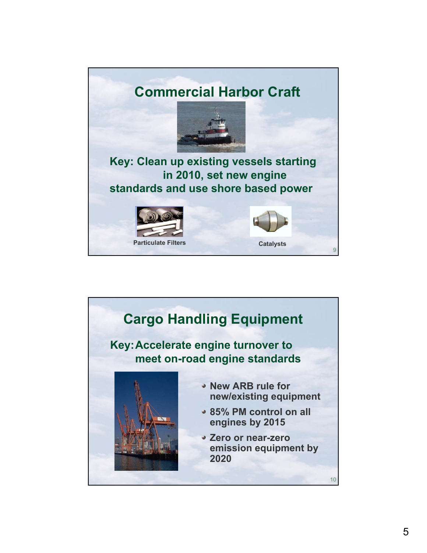

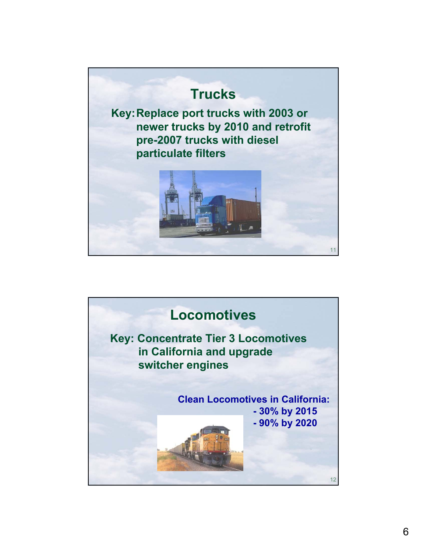

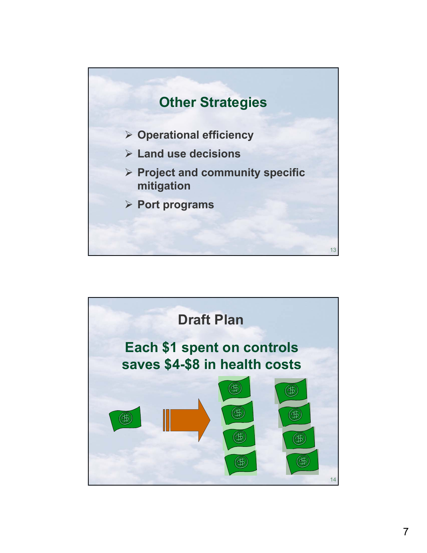

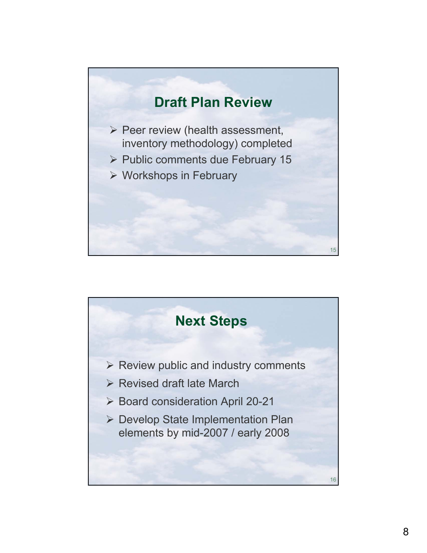## **Draft Plan Review**

- $\triangleright$  Peer review (health assessment, inventory methodology) completed
- ¾ Public comments due February 15
- $\triangleright$  Workshops in February



15